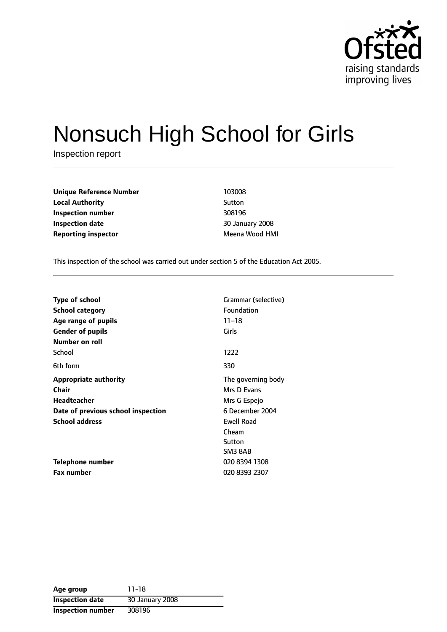

# Nonsuch High School for Girls

Inspection report

**Unique Reference Number** 103008 **Local Authority** Sutton **Inspection number** 308196 **Inspection date** 30 January 2008 **Reporting inspector** Meena Wood HMI

This inspection of the school was carried out under section 5 of the Education Act 2005.

| <b>Type of school</b><br>School category<br>Age range of pupils | Grammar (selective)<br>Foundation<br>$11 - 18$ |
|-----------------------------------------------------------------|------------------------------------------------|
| <b>Gender of pupils</b>                                         | Girls                                          |
| Number on roll                                                  |                                                |
| School                                                          | 1222                                           |
| 6th form                                                        | 330                                            |
| <b>Appropriate authority</b>                                    | The governing body                             |
| Chair                                                           | Mrs D Evans                                    |
| <b>Headteacher</b>                                              | Mrs G Espejo                                   |
| Date of previous school inspection                              | 6 December 2004                                |
| <b>School address</b>                                           | <b>Ewell Road</b>                              |
|                                                                 | Cheam                                          |
|                                                                 | Sutton                                         |
|                                                                 | SM3 8AB                                        |
| <b>Telephone number</b>                                         | 020 8394 1308                                  |
| <b>Fax number</b>                                               | 020 8393 2307                                  |

**Age group** 11-18 **Inspection date** 30 January 2008 **Inspection number** 308196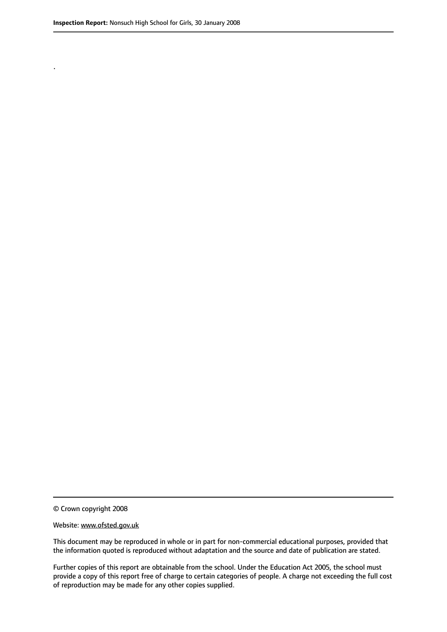.

© Crown copyright 2008

#### Website: www.ofsted.gov.uk

This document may be reproduced in whole or in part for non-commercial educational purposes, provided that the information quoted is reproduced without adaptation and the source and date of publication are stated.

Further copies of this report are obtainable from the school. Under the Education Act 2005, the school must provide a copy of this report free of charge to certain categories of people. A charge not exceeding the full cost of reproduction may be made for any other copies supplied.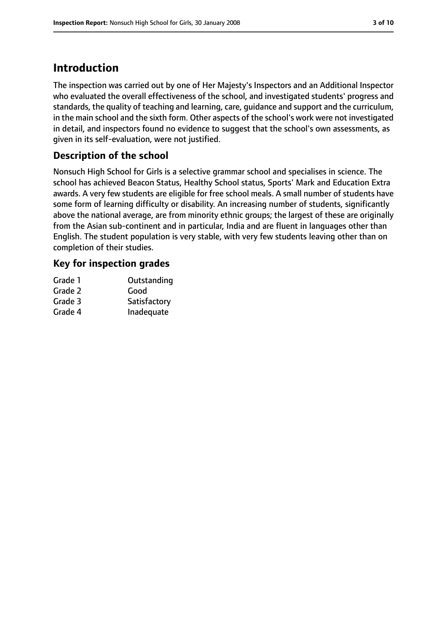# **Introduction**

The inspection was carried out by one of Her Majesty's Inspectors and an Additional Inspector who evaluated the overall effectiveness of the school, and investigated students' progress and standards, the quality of teaching and learning, care, guidance and support and the curriculum, in the main school and the sixth form. Other aspects of the school's work were not investigated in detail, and inspectors found no evidence to suggest that the school's own assessments, as given in its self-evaluation, were not justified.

### **Description of the school**

Nonsuch High School for Girls is a selective grammar school and specialises in science. The school has achieved Beacon Status, Healthy School status, Sports' Mark and Education Extra awards. A very few students are eligible for free school meals. A small number of students have some form of learning difficulty or disability. An increasing number of students, significantly above the national average, are from minority ethnic groups; the largest of these are originally from the Asian sub-continent and in particular, India and are fluent in languages other than English. The student population is very stable, with very few students leaving other than on completion of their studies.

# **Key for inspection grades**

| Grade 1 | Outstanding  |
|---------|--------------|
| Grade 2 | Good         |
| Grade 3 | Satisfactory |
| Grade 4 | Inadequate   |
|         |              |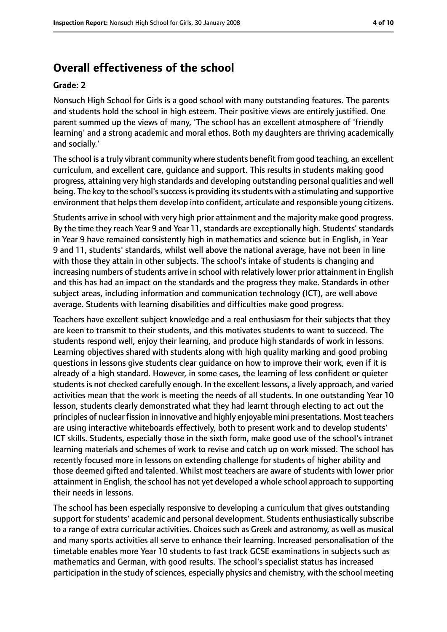# **Overall effectiveness of the school**

### **Grade: 2**

Nonsuch High School for Girls is a good school with many outstanding features. The parents and students hold the school in high esteem. Their positive views are entirely justified. One parent summed up the views of many, 'The school has an excellent atmosphere of 'friendly learning' and a strong academic and moral ethos. Both my daughters are thriving academically and socially.'

The school is a truly vibrant community where students benefit from good teaching, an excellent curriculum, and excellent care, guidance and support. This results in students making good progress, attaining very high standards and developing outstanding personal qualities and well being. The key to the school's success is providing its students with a stimulating and supportive environment that helps them develop into confident, articulate and responsible young citizens.

Students arrive in school with very high prior attainment and the majority make good progress. By the time they reach Year 9 and Year 11, standards are exceptionally high. Students' standards in Year 9 have remained consistently high in mathematics and science but in English, in Year 9 and 11, students' standards, whilst well above the national average, have not been in line with those they attain in other subjects. The school's intake of students is changing and increasing numbers of students arrive in school with relatively lower prior attainment in English and this has had an impact on the standards and the progress they make. Standards in other subject areas, including information and communication technology (ICT), are well above average. Students with learning disabilities and difficulties make good progress.

Teachers have excellent subject knowledge and a real enthusiasm for their subjects that they are keen to transmit to their students, and this motivates students to want to succeed. The students respond well, enjoy their learning, and produce high standards of work in lessons. Learning objectives shared with students along with high quality marking and good probing questions in lessons give students clear guidance on how to improve their work, even if it is already of a high standard. However, in some cases, the learning of less confident or quieter students is not checked carefully enough. In the excellent lessons, a lively approach, and varied activities mean that the work is meeting the needs of all students. In one outstanding Year 10 lesson, students clearly demonstrated what they had learnt through electing to act out the principles of nuclear fission in innovative and highly enjoyable mini presentations. Most teachers are using interactive whiteboards effectively, both to present work and to develop students' ICT skills. Students, especially those in the sixth form, make good use of the school's intranet learning materials and schemes of work to revise and catch up on work missed. The school has recently focused more in lessons on extending challenge for students of higher ability and those deemed gifted and talented. Whilst most teachers are aware of students with lower prior attainment in English, the school has not yet developed a whole school approach to supporting their needs in lessons.

The school has been especially responsive to developing a curriculum that gives outstanding support for students' academic and personal development. Students enthusiastically subscribe to a range of extra curricular activities. Choices such as Greek and astronomy, as well as musical and many sports activities all serve to enhance their learning. Increased personalisation of the timetable enables more Year 10 students to fast track GCSE examinations in subjects such as mathematics and German, with good results. The school's specialist status has increased participation in the study of sciences, especially physics and chemistry, with the school meeting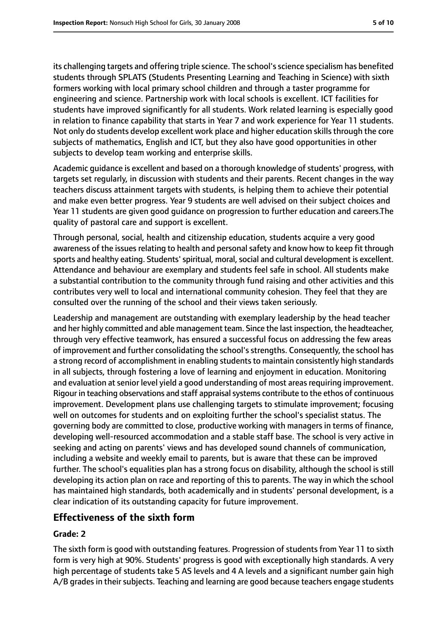its challenging targets and offering triple science. The school's science specialism has benefited students through SPLATS (Students Presenting Learning and Teaching in Science) with sixth formers working with local primary school children and through a taster programme for engineering and science. Partnership work with local schools is excellent. ICT facilities for students have improved significantly for all students. Work related learning is especially good in relation to finance capability that starts in Year 7 and work experience for Year 11 students. Not only do students develop excellent work place and higher education skills through the core subjects of mathematics, English and ICT, but they also have good opportunities in other subjects to develop team working and enterprise skills.

Academic guidance is excellent and based on a thorough knowledge of students' progress, with targets set regularly, in discussion with students and their parents. Recent changes in the way teachers discuss attainment targets with students, is helping them to achieve their potential and make even better progress. Year 9 students are well advised on their subject choices and Year 11 students are given good guidance on progression to further education and careers.The quality of pastoral care and support is excellent.

Through personal, social, health and citizenship education, students acquire a very good awareness of the issues relating to health and personal safety and know how to keep fit through sports and healthy eating. Students' spiritual, moral, social and cultural development is excellent. Attendance and behaviour are exemplary and students feel safe in school. All students make a substantial contribution to the community through fund raising and other activities and this contributes very well to local and international community cohesion. They feel that they are consulted over the running of the school and their views taken seriously.

Leadership and management are outstanding with exemplary leadership by the head teacher and her highly committed and able management team. Since the last inspection, the headteacher, through very effective teamwork, has ensured a successful focus on addressing the few areas of improvement and further consolidating the school's strengths. Consequently, the school has a strong record of accomplishment in enabling students to maintain consistently high standards in all subjects, through fostering a love of learning and enjoyment in education. Monitoring and evaluation at senior level yield a good understanding of most areas requiring improvement. Rigour in teaching observations and staff appraisal systems contribute to the ethos of continuous improvement. Development plans use challenging targets to stimulate improvement; focusing well on outcomes for students and on exploiting further the school's specialist status. The governing body are committed to close, productive working with managers in terms of finance, developing well-resourced accommodation and a stable staff base. The school is very active in seeking and acting on parents' views and has developed sound channels of communication, including a website and weekly email to parents, but is aware that these can be improved further. The school's equalities plan has a strong focus on disability, although the school is still developing its action plan on race and reporting of this to parents. The way in which the school has maintained high standards, both academically and in students' personal development, is a clear indication of its outstanding capacity for future improvement.

# **Effectiveness of the sixth form**

### **Grade: 2**

The sixth form is good with outstanding features. Progression of students from Year 11 to sixth form is very high at 90%. Students' progress is good with exceptionally high standards. A very high percentage of students take 5 AS levels and 4 A levels and a significant number gain high A/B grades in their subjects. Teaching and learning are good because teachers engage students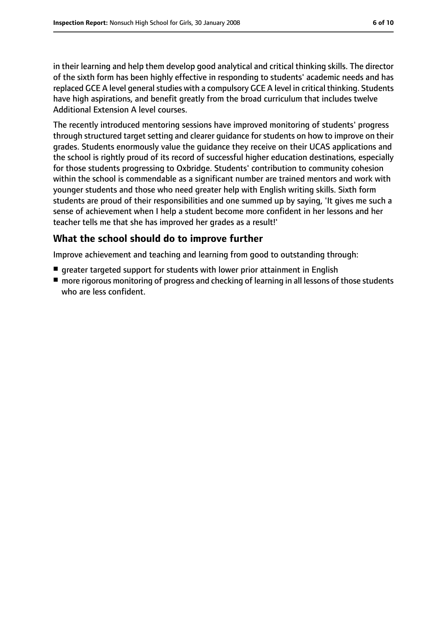in their learning and help them develop good analytical and critical thinking skills. The director of the sixth form has been highly effective in responding to students' academic needs and has replaced GCE A level general studies with a compulsory GCE A level in critical thinking. Students have high aspirations, and benefit greatly from the broad curriculum that includes twelve Additional Extension A level courses.

The recently introduced mentoring sessions have improved monitoring of students' progress through structured target setting and clearer guidance for students on how to improve on their grades. Students enormously value the guidance they receive on their UCAS applications and the school is rightly proud of its record of successful higher education destinations, especially for those students progressing to Oxbridge. Students' contribution to community cohesion within the school is commendable as a significant number are trained mentors and work with younger students and those who need greater help with English writing skills. Sixth form students are proud of their responsibilities and one summed up by saying, 'It gives me such a sense of achievement when I help a student become more confident in her lessons and her teacher tells me that she has improved her grades as a result!'

# **What the school should do to improve further**

Improve achievement and teaching and learning from good to outstanding through:

- greater targeted support for students with lower prior attainment in English
- more rigorous monitoring of progress and checking of learning in all lessons of those students who are less confident.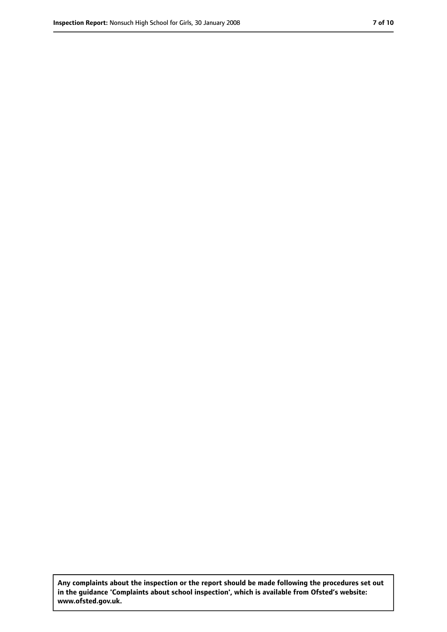**Any complaints about the inspection or the report should be made following the procedures set out in the guidance 'Complaints about school inspection', which is available from Ofsted's website: www.ofsted.gov.uk.**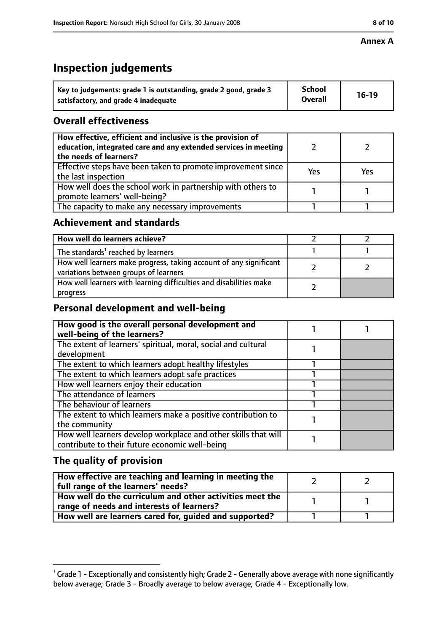### **Annex A**

# **Inspection judgements**

| Key to judgements: grade 1 is outstanding, grade 2 good, grade 3 | <b>School</b>  | $16-19$ |
|------------------------------------------------------------------|----------------|---------|
| satisfactory, and grade 4 inadequate                             | <b>Overall</b> |         |

# **Overall effectiveness**

| How effective, efficient and inclusive is the provision of<br>education, integrated care and any extended services in meeting<br>the needs of learners? |     |     |
|---------------------------------------------------------------------------------------------------------------------------------------------------------|-----|-----|
| Effective steps have been taken to promote improvement since<br>the last inspection                                                                     | Yes | Yes |
| How well does the school work in partnership with others to<br>promote learners' well-being?                                                            |     |     |
| The capacity to make any necessary improvements                                                                                                         |     |     |

### **Achievement and standards**

| How well do learners achieve?                                                                               |  |
|-------------------------------------------------------------------------------------------------------------|--|
| The standards <sup>1</sup> reached by learners                                                              |  |
| How well learners make progress, taking account of any significant<br>variations between groups of learners |  |
| How well learners with learning difficulties and disabilities make<br>progress                              |  |

### **Personal development and well-being**

| How good is the overall personal development and<br>well-being of the learners? |  |
|---------------------------------------------------------------------------------|--|
| The extent of learners' spiritual, moral, social and cultural                   |  |
| development                                                                     |  |
| The extent to which learners adopt healthy lifestyles                           |  |
| The extent to which learners adopt safe practices                               |  |
| How well learners enjoy their education                                         |  |
| The attendance of learners                                                      |  |
| The behaviour of learners                                                       |  |
| The extent to which learners make a positive contribution to                    |  |
| the community                                                                   |  |
| How well learners develop workplace and other skills that will                  |  |
| contribute to their future economic well-being                                  |  |

# **The quality of provision**

| How effective are teaching and learning in meeting the<br>full range of the learners' needs?          |  |
|-------------------------------------------------------------------------------------------------------|--|
| How well do the curriculum and other activities meet the<br>range of needs and interests of learners? |  |
| How well are learners cared for, guided and supported?                                                |  |

 $^1$  Grade 1 - Exceptionally and consistently high; Grade 2 - Generally above average with none significantly below average; Grade 3 - Broadly average to below average; Grade 4 - Exceptionally low.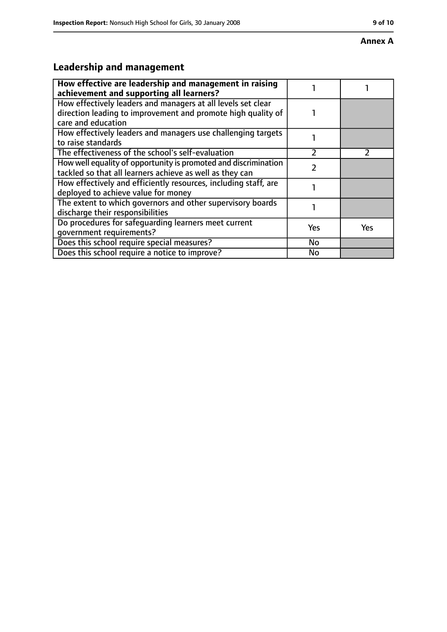### **Annex A**

# **Leadership and management**

| How effective are leadership and management in raising<br>achievement and supporting all learners?                                                 |            |     |
|----------------------------------------------------------------------------------------------------------------------------------------------------|------------|-----|
| How effectively leaders and managers at all levels set clear<br>direction leading to improvement and promote high quality of<br>care and education |            |     |
| How effectively leaders and managers use challenging targets<br>to raise standards                                                                 |            |     |
| The effectiveness of the school's self-evaluation                                                                                                  | フ          |     |
| How well equality of opportunity is promoted and discrimination<br>tackled so that all learners achieve as well as they can                        |            |     |
| How effectively and efficiently resources, including staff, are<br>deployed to achieve value for money                                             |            |     |
| The extent to which governors and other supervisory boards<br>discharge their responsibilities                                                     |            |     |
| Do procedures for safequarding learners meet current<br>qovernment requirements?                                                                   | <b>Yes</b> | Yes |
| Does this school require special measures?                                                                                                         | No         |     |
| Does this school require a notice to improve?                                                                                                      | <b>No</b>  |     |